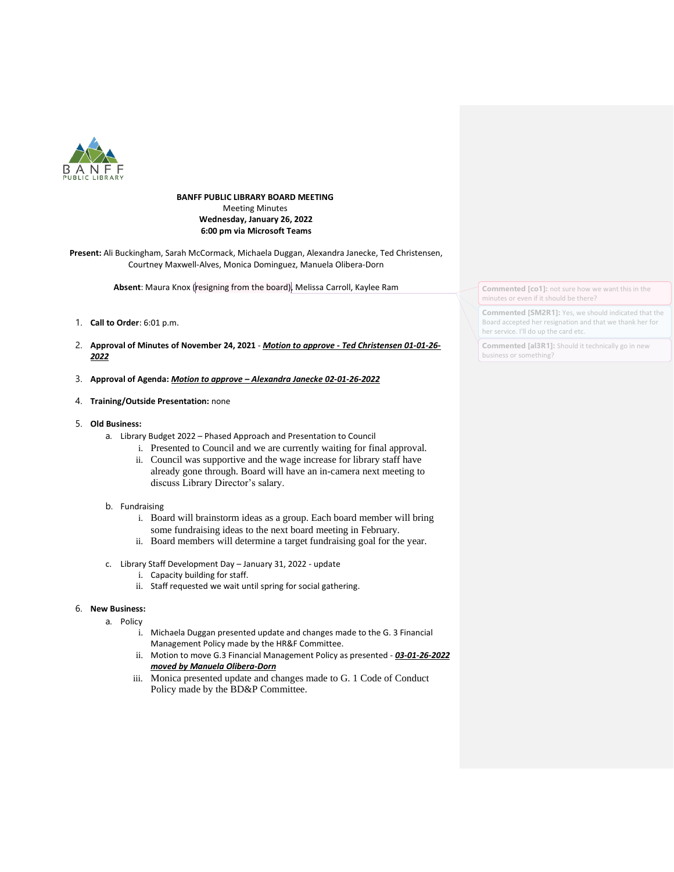

## **BANFF PUBLIC LIBRARY BOARD MEETING** Meeting Minutes **Wednesday, January 26, 2022 6:00 pm via Microsoft Teams**

**Present:** Ali Buckingham, Sarah McCormack, Michaela Duggan, Alexandra Janecke, Ted Christensen, Courtney Maxwell-Alves, Monica Dominguez, Manuela Olibera-Dorn

Absent: Maura Knox (resigning from the board), Melissa Carroll, Kaylee Ram

- 1. **Call to Order**: 6:01 p.m.
- 2. **Approval of Minutes of November 24, 2021** *Motion to approve - Ted Christensen 01-01-26- 2022*
- 3. **Approval of Agenda:** *Motion to approve – Alexandra Janecke 02-01-26-2022*
- 4. **Training/Outside Presentation:** none
- 5. **Old Business:**
	- a. Library Budget 2022 Phased Approach and Presentation to Council
		- i. Presented to Council and we are currently waiting for final approval.
		- ii. Council was supportive and the wage increase for library staff have already gone through. Board will have an in-camera next meeting to discuss Library Director's salary.
	- b. Fundraising
		- i. Board will brainstorm ideas as a group. Each board member will bring some fundraising ideas to the next board meeting in February.
		- ii. Board members will determine a target fundraising goal for the year.
	- c. Library Staff Development Day January 31, 2022 update
		- i. Capacity building for staff.
		- ii. Staff requested we wait until spring for social gathering.

# 6. **New Business:**

- a. Policy
	- i. Michaela Duggan presented update and changes made to the G. 3 Financial Management Policy made by the HR&F Committee.
	- ii. Motion to move G.3 Financial Management Policy as presented *03-01-26-2022 moved by Manuela Olibera-Dorn*
	- iii. Monica presented update and changes made to G. 1 Code of Conduct Policy made by the BD&P Committee.

**Commented [co1]:** not sure how we want this in the minutes or even if it should be there?

**Commented [SM2R1]:** Yes, we should indicated that the Board accepted her resignation and that we thank her for her service. I'll do up the card etc.

**Commented [al3R1]:** Should it technically go in new business or something?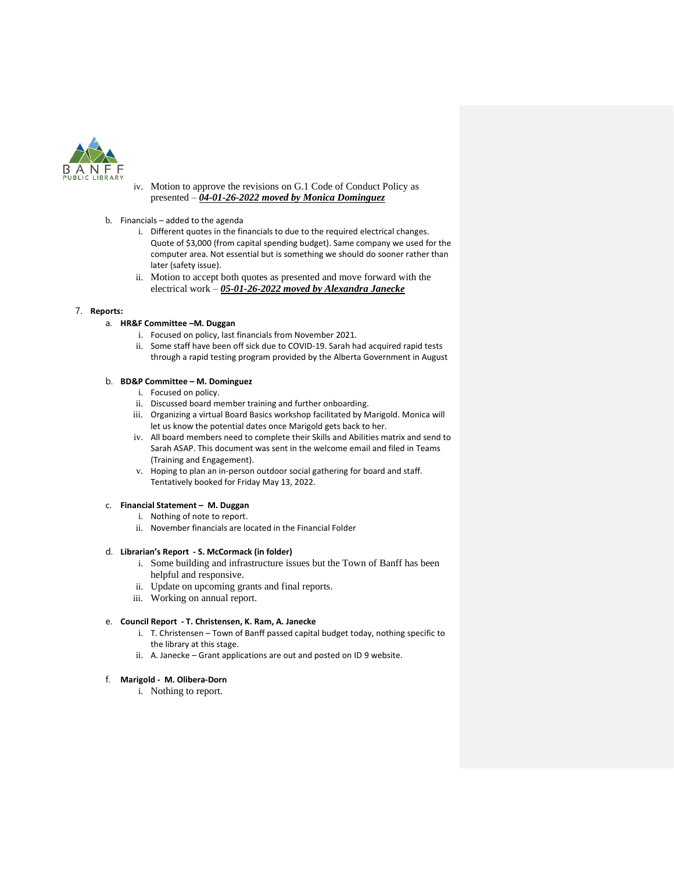

- iv. Motion to approve the revisions on G.1 Code of Conduct Policy as presented – *04-01-26-2022 moved by Monica Dominguez*
- b. Financials added to the agenda
	- i. Different quotes in the financials to due to the required electrical changes. Quote of \$3,000 (from capital spending budget). Same company we used for the computer area. Not essential but is something we should do sooner rather than later (safety issue).
	- ii. Motion to accept both quotes as presented and move forward with the electrical work – *05-01-26-2022 moved by Alexandra Janecke*

### 7. **Reports:**

### a. **HR&F Committee –M. Duggan**

- i. Focused on policy, last financials from November 2021.
- ii. Some staff have been off sick due to COVID-19. Sarah had acquired rapid tests through a rapid testing program provided by the Alberta Government in August

## b. **BD&P Committee – M. Dominguez**

- i. Focused on policy.
- ii. Discussed board member training and further onboarding.
- iii. Organizing a virtual Board Basics workshop facilitated by Marigold. Monica will let us know the potential dates once Marigold gets back to her.
- iv. All board members need to complete their Skills and Abilities matrix and send to Sarah ASAP. This document was sent in the welcome email and filed in Teams (Training and Engagement).
- v. Hoping to plan an in-person outdoor social gathering for board and staff. Tentatively booked for Friday May 13, 2022.

### c. **Financial Statement – M. Duggan**

- i. Nothing of note to report.
- ii. November financials are located in the Financial Folder

### d. **Librarian's Report - S. McCormack (in folder)**

- i. Some building and infrastructure issues but the Town of Banff has been helpful and responsive.
- ii. Update on upcoming grants and final reports.
- iii. Working on annual report.

### e. **Council Report - T. Christensen, K. Ram, A. Janecke**

- i. T. Christensen Town of Banff passed capital budget today, nothing specific to the library at this stage.
- ii. A. Janecke Grant applications are out and posted on ID 9 website.

### f. **Marigold - M. Olibera-Dorn**

i. Nothing to report.